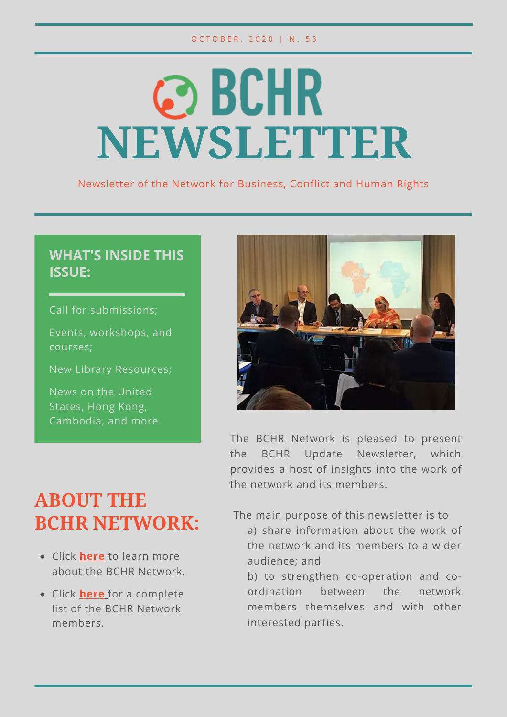# **@BCHR NEWSLETTER**

Newsletter of the Network for Business, Conflict and Human Rights

#### **WHAT'S INSIDE THIS ISSUE:**

Call for submissions;

Events, workshops, and courses;

New Library Resources;

News on the United States, Hong Kong, Cambodia, and more.



The BCHR Network is pleased to present the BCHR Update Newsletter, which provides a host of insights into the work of the network and its members.

#### **ABOUT THE BCHR NETWORK:**

- Click **[here](https://www.networkbchr.org/)** to learn more about the BCHR Network.
- Click **[here](https://f998e6ff-677d-4bc8-acec-99f1a281683a.filesusr.com/ugd/e6086f_51bb4cc961934dda90353e65cc8e44d6.pdf)** [f](https://f998e6ff-677d-4bc8-acec-99f1a281683a.filesusr.com/ugd/e6086f_51bb4cc961934dda90353e65cc8e44d6.pdf)or a complete list of the BCHR Network members.

The main purpose of this newsletter is to

- a) share information about the work of the network and its members to a wider audience; and
- b) to strengthen co-operation and coordination between the network members themselves and with other interested parties.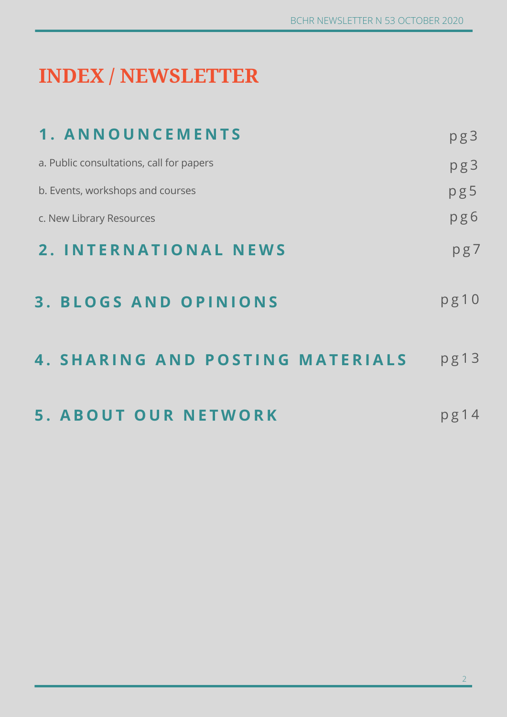### **INDEX / NEWSLETTER**

| 1. ANNOUNCEMENTS                         | pg3  |
|------------------------------------------|------|
| a. Public consultations, call for papers | pg3  |
| b. Events, workshops and courses         | pg5  |
| c. New Library Resources                 | pg6  |
| 2. INTERNATIONAL NEWS                    | pg7  |
| <b>BLOGS AND OPINIONS</b><br>3.          | pg10 |
| 4. SHARING AND POSTING MATERIALS         | pg13 |
| <b>5. ABOUT OUR NETWORK</b>              | pg14 |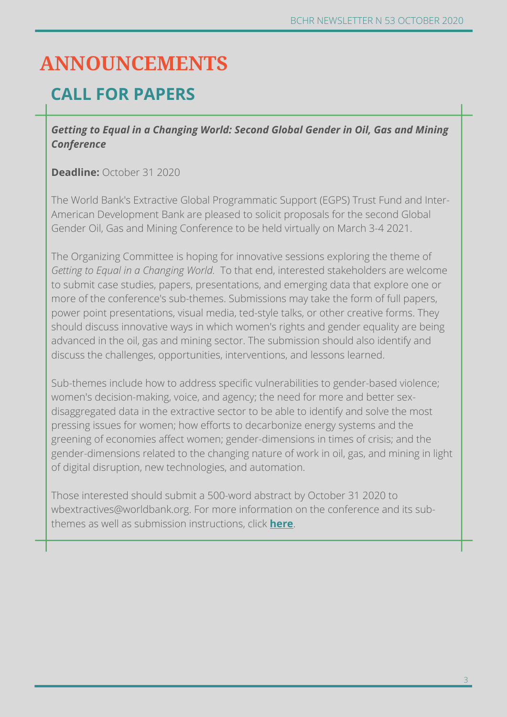#### **ANNOUNCEMENTS**

#### **CALL FOR PAPERS**

*Getting to Equal in a Changing World: Second Global Gender in Oil, Gas and Mining Conference*

**Deadline:** October 31 2020

The World Bank's Extractive Global Programmatic Support (EGPS) Trust Fund and Inter-American Development Bank are pleased to solicit proposals for the second Global Gender Oil, Gas and Mining Conference to be held virtually on March 3-4 2021.

The Organizing Committee is hoping for innovative sessions exploring the theme of *Getting to Equal in a Changing World.* To that end, interested stakeholders are welcome to submit case studies, papers, presentations, and emerging data that explore one or more of the conference's sub-themes. Submissions may take the form of full papers, power point presentations, visual media, ted-style talks, or other creative forms. They should discuss innovative ways in which women's rights and gender equality are being advanced in the oil, gas and mining sector. The submission should also identify and discuss the challenges, opportunities, interventions, and lessons learned.

Sub-themes include how to address specific vulnerabilities to gender-based violence; women's decision-making, voice, and agency; the need for more and better sexdisaggregated data in the extractive sector to be able to identify and solve the most pressing issues for women; how efforts to decarbonize energy systems and the greening of economies affect women; gender-dimensions in times of crisis; and the gender-dimensions related to the changing nature of work in oil, gas, and mining in light of digital disruption, new technologies, and automation.

Those interested should submit a 500-word abstract by October 31 2020 to wbextractives@worldbank.org. For more information on the conference and its subthemes as well as submission instructions, click **[here](https://www.worldbank.org/en/events/2020/09/09/getting-to-equal-in-a-changing-world-second-global-gender-in-oil-gas-and-mining-conference#2)**.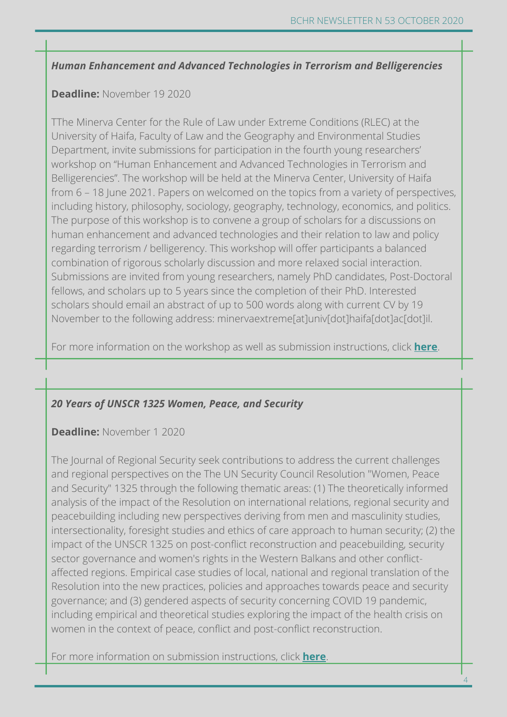#### *Human Enhancement and Advanced Technologies in Terrorism and Belligerencies*

#### **Deadline:** November 19 2020

TThe Minerva Center for the Rule of Law under Extreme Conditions (RLEC) at the University of Haifa, Faculty of Law and the Geography and Environmental Studies Department, invite submissions for participation in the fourth young researchers' workshop on "Human Enhancement and Advanced Technologies in Terrorism and Belligerencies". The workshop will be held at the Minerva Center, University of Haifa from 6 – 18 June 2021. Papers on welcomed on the topics from a variety of perspectives, including history, philosophy, sociology, geography, technology, economics, and politics. The purpose of this workshop is to convene a group of scholars for a discussions on human enhancement and advanced technologies and their relation to law and policy regarding terrorism / belligerency. This workshop will offer participants a balanced combination of rigorous scholarly discussion and more relaxed social interaction. Submissions are invited from young researchers, namely PhD candidates, Post-Doctoral fellows, and scholars up to 5 years since the completion of their PhD. Interested scholars should email an abstract of up to 500 words along with current CV by 19 November to the following address: minervaextreme[at]univ[dot]haifa[dot]ac[dot]il.

For more information on the workshop as well as submission instructions, click **[here](https://minervaextremelaw.haifa.ac.il/index.php/en/32-center-events/387-the-4th-young-researchers-workshop-on-terrorism-and-belligerency-call-for-submission)**.

#### *20 Years of UNSCR 1325 Women, Peace, and Security*

**Deadline:** November 1 2020

The Journal of Regional Security seek contributions to address the current challenges and regional perspectives on the The UN Security Council Resolution "Women, Peace and Security" 1325 through the following thematic areas: (1) The theoretically informed analysis of the impact of the Resolution on international relations, regional security and peacebuilding including new perspectives deriving from men and masculinity studies, intersectionality, foresight studies and ethics of care approach to human security; (2) the impact of the UNSCR 1325 on post-conflict reconstruction and peacebuilding, security sector governance and women's rights in the Western Balkans and other conflictaffected regions. Empirical case studies of local, national and regional translation of the Resolution into the new practices, policies and approaches towards peace and security governance; and (3) gendered aspects of security concerning COVID 19 pandemic, including empirical and theoretical studies exploring the impact of the health crisis on women in the context of peace, conflict and post-conflict reconstruction.

For more information on submission instructions, click **[here](https://www.gendercampus.ch/en/news/call-for-papers/20-years-of-unscr-1325-women-peace-and-security/?fbclid=IwAR2w1y4NxSSL9-2aG_YuN96of814ukw9hZ_jRE_iLXoZoBr3V1qSxRElHpo)**.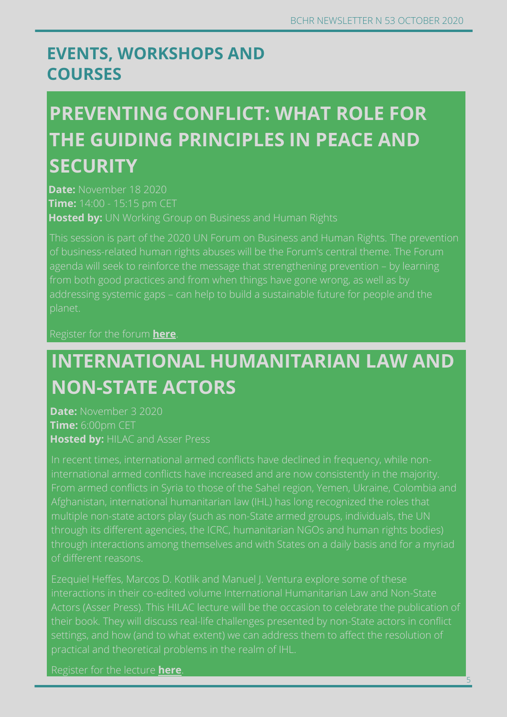5

#### **EVENTS, WORKSHOPS AND COURSES**

### **PREVENTING CONFLICT: WHAT ROLE FOR THE GUIDING PRINCIPLES IN PEACE AND SECURITY**

**Date:** November 18 2020 **Time:** 14:00 - 15:15 pm CET **Hosted by:** UN Working Group on Business and Human Rights

This session is part of the 2020 UN Forum on Business and Human Rights. The prevention planet.

#### Register for the forum **[here](https://www.ohchr.org/EN/Issues/Business/Forum/Pages/2020ForumBHR.aspx)**.

#### **INTERNATIONAL HUMANITARIAN LAW AND NON-STATE ACTORS**

**Date:** November 3 2020 **Time:** 6:00pm CET **Hosted by:** HILAC and Asser Press

of different reasons.

interactions in their co-edited volume International Humanitarian Law and Non-State

Register for the lecture **[here](https://www.asser.nl/education-events/events/?id=3151)**.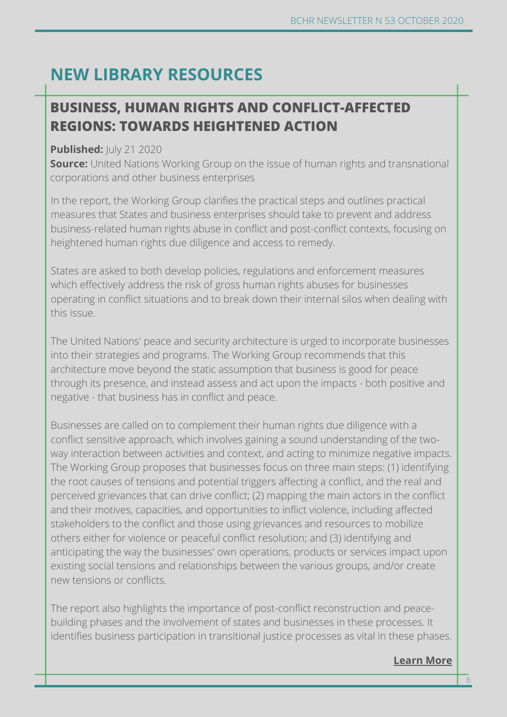#### **NEW LIBRARY RESOURCES**

#### **Learn more BUSINESS, HUMAN RIGHTS AND CONFLICT-AF[FECTED](https://www.cityu.edu.hk/slw/lib/doc/HRLF/20200730_(Roundtable_Series_on_NSL)_NSL_on_BHR.pdf) REGIONS: TOWARDS HEIGHTENED ACTION**

#### **Published:**  $|U|$  **21 2020**

**Source:** United Nations Working Group on the issue of human rights and transnational corporations and other business enterprises

In the report, the Working Group clarifies the practical steps and outlines practical measures that States and business enterprises should take to prevent and address business-related human rights abuse in conflict and post-conflict contexts, focusing on heightened human rights due diligence and access to remedy.

States are asked to both develop policies, regulations and enforcement measures which effectively address the risk of gross human rights abuses for businesses operating in conflict situations and to break down their internal silos when dealing with this issue.

The United Nations' peace and security architecture is urged to incorporate businesses into their strategies and programs. The Working Group recommends that this architecture move beyond the static assumption that business is good for peace through its presence, and instead assess and act upon the impacts - both positive and negative - that business has in conflict and peace.

Businesses are called on to complement their human rights due diligence with a conflict sensitive approach, which involves gaining a sound understanding of the twoway interaction between activities and context, and acting to minimize negative impacts. The Working Group proposes that businesses focus on three main steps: (1) identifying the root causes of tensions and potential triggers affecting a conflict, and the real and perceived grievances that can drive conflict; (2) mapping the main actors in the conflict and their motives, capacities, and opportunities to inflict violence, including affected stakeholders to the conflict and those using grievances and resources to mobilize others either for violence or peaceful conflict resolution; and (3) identifying and anticipating the way the businesses' own operations, products or services impact upon existing social tensions and relationships between the various groups, and/or create new tensions or conflicts.

The report also highlights the importance of post-conflict reconstruction and peacebuilding phases and the involvement of states and businesses in these processes. It identifies business participation in transitional justice processes as vital in these phases.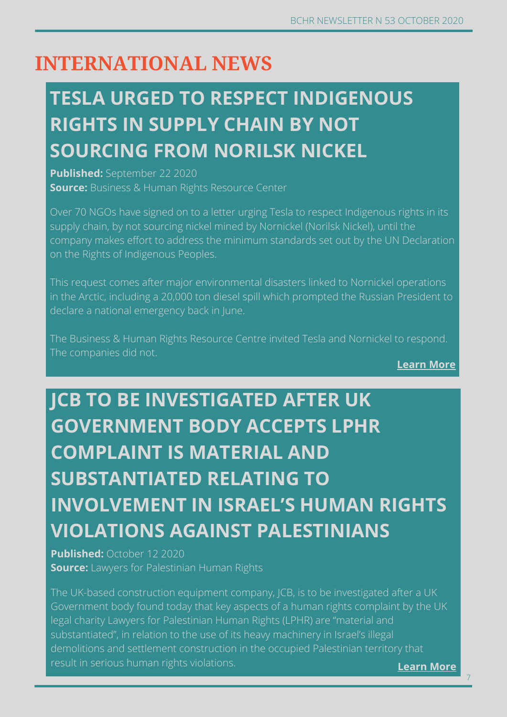#### **INTERNATIONAL NEWS**

# **TESLA URGED TO RESPECT INDIGENOUS RIGHTS IN SUPPLY CHAIN BY NOT SOURCING FROM NORILSK NICKEL**

**Published:** September 22 2020 **Source:** Business & Human Rights Resource Center

Over 70 NGOs have signed on to a letter urging Tesla to respect Indigenous rights in its supply chain, by not sourcing nickel mined by Nornickel (Norilsk Nickel), until the company makes effort to address the minimum standards set out by the UN Declaration on the Rights of Indigenous Peoples.

This request comes after major environmental disasters linked to Nornickel operations in the Arctic, including a 20,000 ton diesel spill which prompted the Russian President to declare a national emergency back in June.

The Business & Human Rights Resource Centre invited Tesla and Nornickel to respond. The companies did not.

**[Learn More](https://www.business-humanrights.org/en/latest-news/tesla-and-norilsk-nickel-urged-to-respect-indigenous-rights-by-ngos/)**

# **JCB TO BE INVESTIGATED AFTER UK GOVERNMENT BODY ACCEPTS LPHR COMPLAINT IS MATERIAL AND SUBSTANTIATED RELATING TO INVOLVEMENT IN ISRAEL'S HUMAN RIGHTS VIOLATIONS AGAINST PALESTINIANS**

**Published:** October 12 2020 **Source:** Lawyers for Palestinian Human Rights

demolitions and settlement construction in the occupied Palestinian territory that<br>result in serious human rights violations The UK-based construction equipment company, JCB, is to be investigated after a UK Government body found today that key aspects of a human rights complaint by the UK legal charity Lawyers for Palestinian Human Rights (LPHR) are "material and substantiated", in relation to the use of its heavy machinery in Israel's illegal result in serious human rights violations.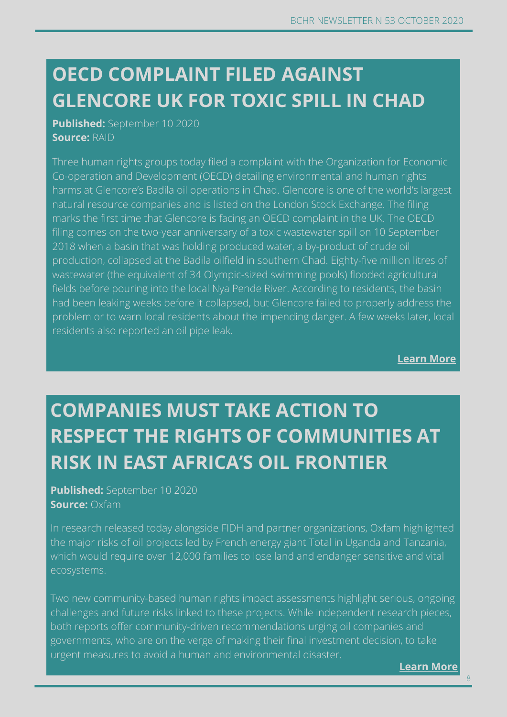### **CAMBODIA: COVID-19 OUTBREAK RAISES SERIOUS GLENCORE UK FOR TOXIC SPILL IN CHAD OECD COMPLAINT FILED AGAINST**

**Published:** September 10 2020 **Source:** RAID

Three human rights groups today filed a complaint with the Organization for Economic Co-operation and Development (OECD) detailing environmental and human rights harms at Glencore's Badila oil operations in Chad. Glencore is one of the world's largest natural resource companies and is listed on the London Stock Exchange. The filing marks the first time that Glencore is facing an OECD complaint in the UK. The OECD filing comes on the two-year anniversary of a toxic wastewater spill on 10 September 2018 when a basin that was holding produced water, a by-product of crude oil production, collapsed at the Badila oilfield in southern Chad. Eighty-five million litres of wastewater (the equivalent of 34 Olympic-sized swimming pools) flooded agricultural fields before pouring into the local Nya Pende River. According to residents, the basin had been leaking weeks before it collapsed, but Glencore failed to properly address the problem or to warn local residents about the impending danger. A few weeks later, local residents also reported an oil pipe leak.

**[Learn More](https://www.raid-uk.org/blog/oecd-complaint-filed-against-glencore-uk-toxic-spill-chad)**

# **COMPANIES MUST TAKE ACTION TO RESPECT THE RIGHTS OF COMMUNITIES AT RISK IN EAST AFRICA'S OIL FRONTIER**

**Published:** September 10 2020 **Source:** Oxfam

In research released today alongside FIDH and partner organizations, Oxfam highlighted the major risks of oil projects led by French energy giant Total in Uganda and Tanzania, which would require over 12,000 families to lose land and endanger sensitive and vital ecosystems.

Two new community-based human rights impact assessments highlight serious, ongoing challenges and future risks linked to these projects. While independent research pieces, both reports offer community-driven recommendations urging oil companies and governments, who are on the verge of making their final investment decision, to take urgent measures to avoid a human and environmental disaster.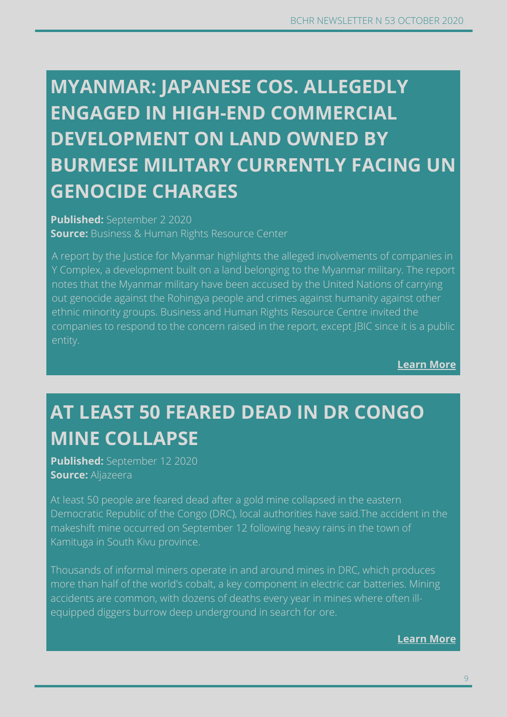# **ENGAGED IN HIGH-END COMMERCIAL CONCERNS OVER WORKERS' RIGHTS DEVELOPMENT ON LAND OWNED BY MYANMAR: JAPANESE COS. ALLEGEDLY BURMESE MILITARY CURRENTLY FACING UN GENOCIDE CHARGES**

**Published:** September 2 2020 **Source:** Business & Human Rights Resource Center

A report by the Justice for Myanmar highlights the alleged involvements of companies in Y Complex, a development built on a land belonging to the Myanmar military. The report notes that the Myanmar military have been accused by the United Nations of carrying out genocide against the Rohingya people and crimes against humanity against other ethnic minority groups. Business and Human Rights Resource Centre invited the companies to respond to the concern raised in the report, except JBIC since it is a public entity.

**[Learn More](https://www.business-humanrights.org/en/latest-news/myanmar-japanese-cos-allegedly-engaged-in-high-end-commercial-development-on-land-owned-by-burmese-military-currently-facing-un-genocide-charges/)**

# **AT LEAST 50 FEARED DEAD IN DR CONGO MINE COLLAPSE**

**Published:** September 12 2020 **Source:** Aljazeera

At least 50 people are feared dead after a gold mine collapsed in the eastern Democratic Republic of the Congo (DRC), local authorities have said.The accident in the makeshift mine occurred on September 12 following heavy rains in the town of Kamituga in South Kivu province.

Thousands of informal miners operate in and around mines in DRC, which produces more than half of the world's cobalt, a key component in electric car batteries. Mining accidents are common, with dozens of deaths every year in mines where often illequipped diggers burrow deep underground in search for ore.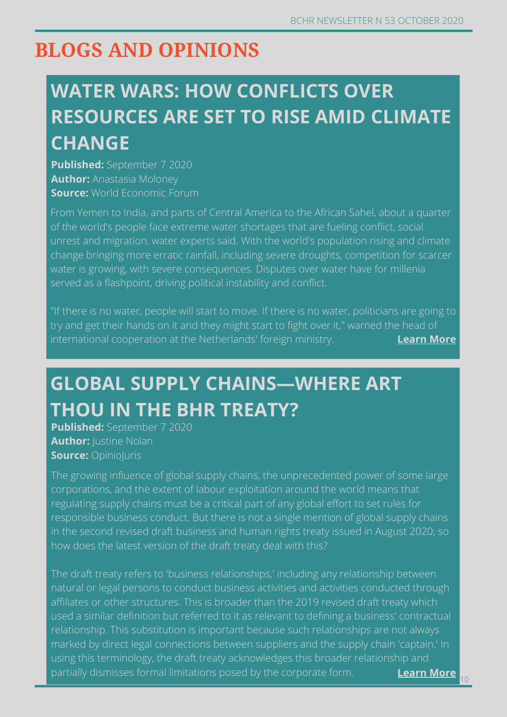#### **BLOGS AND OPINIONS**

### **WATER WARS: HOW CONFLICTS OVER RESOURCES ARE SET TO RISE AMID CLIMATE CHANGE**

**Published:** September 7 2020 **Author:** Anastasia Moloney **Source:** World Economic Forum

From Yemen to India, and parts of Central America to the African Sahel, about a quarter of the world's people face extreme water shortages that are fueling conflict, social unrest and migration, water experts said. With the world's population rising and climate change bringing more erratic rainfall, including severe droughts, competition for scarcer water is growing, with severe consequences. Disputes over water have for millenia served as a flashpoint, driving political instability and conflict.

"If there is no water, people will start to move. If there is no water, politicians are going to try and get their hands on it and they might start to fight over it," warned the head of international cooperation at the Netherlands' foreign ministry. **[Learn More](https://www.weforum.org/agenda/2020/09/climate-change-impact-water-security-risk)** 

### **GLOBAL SUPPLY CHAINS—WHERE ART THOU IN THE BHR TREATY?**

**Published:** September 7 2020 **Author: Justine Nolan Source:** OpinioJuris

The growing influence of global supply chains, the unprecedented power of some large corporations, and the extent of labour exploitation around the world means that regulating supply chains must be a critical part of any global effort to set rules for responsible business conduct. But there is not a single mention of global supply chains in the second revised draft business and human rights treaty issued in August 2020; so how does the latest version of the draft treaty deal with this?

**Learn more** The draft treaty refers to 'business relationships,' including any relationship between natural or legal persons to conduct business activities and activities conducted through affiliates or other structures. This is broader than the 2019 revised draft treaty which used a similar definition but referred to it as relevant to defining a business' contractual relationship. This substitution is important because such relationshi[ps are not alw](https://amazonwatch.org/news/2020/0702-mining-on-indigenous-territories-brings-devastation)ays marked by direct legal connections between suppliers and the supply chain 'captain.' In using this terminology, the draft treaty acknowledges this broader relationship and partially dismisses formal limitations posed by the corporate form. **[Learn More](http://opiniojuris.org/2020/09/07/bhr-symposium-global-supply-chains-where-art-thou-in-the-bhr-treaty/)**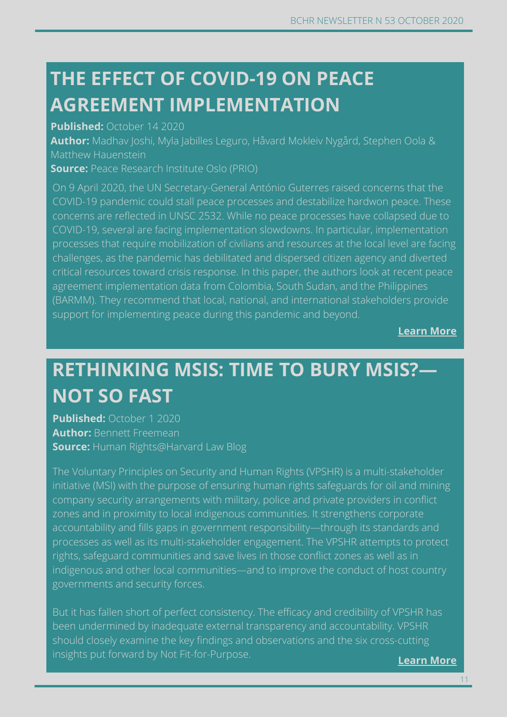### **THE EFFECT OF COVID-19 ON PEACE AGREEMENT IMPLEMENTATION**

**Published:** October 14 2020

**Author:** Madhav Joshi, Myla Jabilles Leguro, Håvard Mokleiv Nygård, Stephen Oola & Matthew Hauenstein

**Source:** Peace Research Institute Oslo (PRIO)

On 9 April 2020, the UN Secretary-General António Guterres raised concerns that the COVID-19 pandemic could stall peace processes and destabilize hardwon peace. These concerns are reflected in UNSC 2532. While no peace processes have collapsed due to COVID-19, several are facing implementation slowdowns. In particular, implementation processes that require mobilization of civilians and resources at the local level are facing challenges, as the pandemic has debilitated and dispersed citizen agency and diverted critical resources toward crisis response. In this paper, the authors look at recent peace agreement implementation data from Colombia, South Sudan, and the Philippines (BARMM). They recommend that local, national, and international stakeholders provide support for implementing peace during this pandemic and beyond.

**[Learn More](https://www.prio.org/utility/DownloadFile.ashx?id=2118&type=publicationfile)**

#### **RETHINKING MSIS: TIME TO BURY MSIS?— NOT SO FAST**

**Published:** October 1 2020 **Author:** Bennett Freemean **Source:** Human Rights@Harvard Law Blog

The Voluntary Principles on Security and Human Rights (VPSHR) is a multi-stakeholder initiative (MSI) with the purpose of ensuring human rights safeguards for oil and mining company security arrangements with military, police and private providers in conflict zones and in proximity to local indigenous communities. It strengthens corporate accountability and fills gaps in government responsibility—through its standards and processes as well as its multi-stakeholder engagement. The VPSHR attempts to protect rights, safeguard communities and save lives in those conflict zones as well as in indigenous and other local communities—and to improve the conduct of host country governments and security forces.

But it has fallen short of perfect consistency. The efficacy and credibility of VPSHR has been undermined by inadequate external transparency and accountability. VPSHR should closely examine the key findings and observations and the six cross-cutting insights put forward by Not Fit-for-Purpose.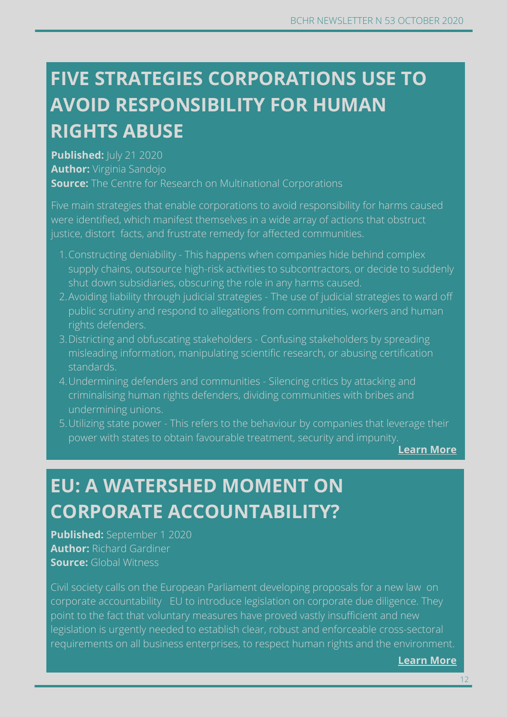# **FIVE STRATEGIES CORPORATIONS USE TO AVOID RESPONSIBILITY FOR HUMAN RIGHTS ABUSE**

**Published:**  $|U|$  **21 2020 Author:** Virginia Sandojo **Source:** The Centre for Research on Multinational Corporations

Five main strategies that enable corporations to avoid responsibility for harms caused were identified, which manifest themselves in a wide array of actions that obstruct justice, distort facts, and frustrate remedy for affected communities.

- Constructing deniability This happens when companies hide behind complex 1. supply chains, outsource high-risk activities to subcontractors, or decide to suddenly shut down subsidiaries, obscuring the role in any harms caused.
- Avoiding liability through judicial strategies The use of judicial strategies to ward off 2. public scrutiny and respond to allegations from communities, workers and human rights defenders.
- Districting and obfuscating stakeholders Confusing stakeholders by spreading 3. misleading information, manipulating scientific research, or abusing certification standards.
- Undermining defenders and communities Silencing critics by attacking and 4. criminalising human rights defenders, dividing communities with bribes and undermining unions.
- 5. Utilizing state power This refers to the behaviour by companies that leverage their power with states to obtain favourable treatment, security and impunity.

**[Learn More](https://www.somo.nl/five-strategies-corporations-use-to-avoid-responsibility-for-human-rights-abuses/)**

### **EU: A WATERSHED MOMENT ON CORPORATE ACCOUNTABILITY?**

**Published:** September 1 2020 **Author:** Richard Gardiner **Source:** Global Witness

**Learn more** requirements on all business enterprises, to respect human rights an[d the environ](https://amazonwatch.org/news/2020/0702-mining-on-indigenous-territories-brings-devastation)ment. Civil society calls on the European Parliament developing proposals for a new law on corporate accountability EU to introduce legislation on corporate due diligence. They point to the fact that voluntary measures have proved vastly insufficient and new legislation is urgently needed to establish clear, robust and enforceable cross-sectoral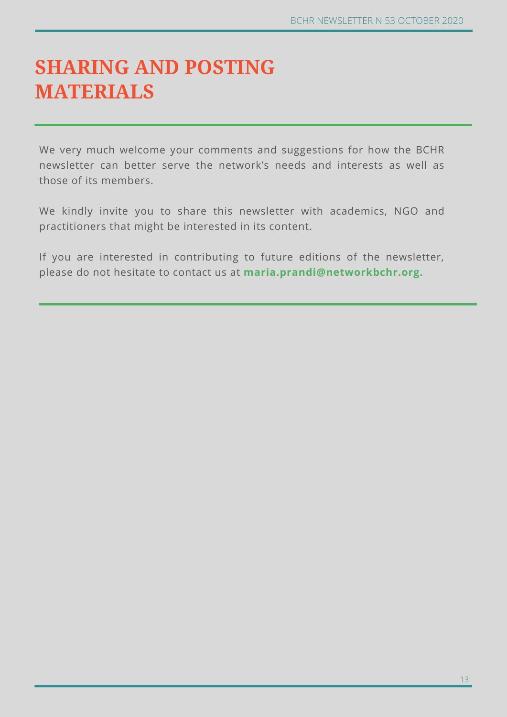#### **SHARING AND POSTING MATERIALS**

We very much welcome your comments and suggestions for how the BCHR newsletter can better serve the network's needs and interests as well as those of its members.

We kindly invite you to share this newsletter with academics, NGO and practitioners that might be interested in its content.

If you are interested in contributing to future editions of the newsletter, please do not hesitate to contact us at **maria.prandi@networkbchr.org.**